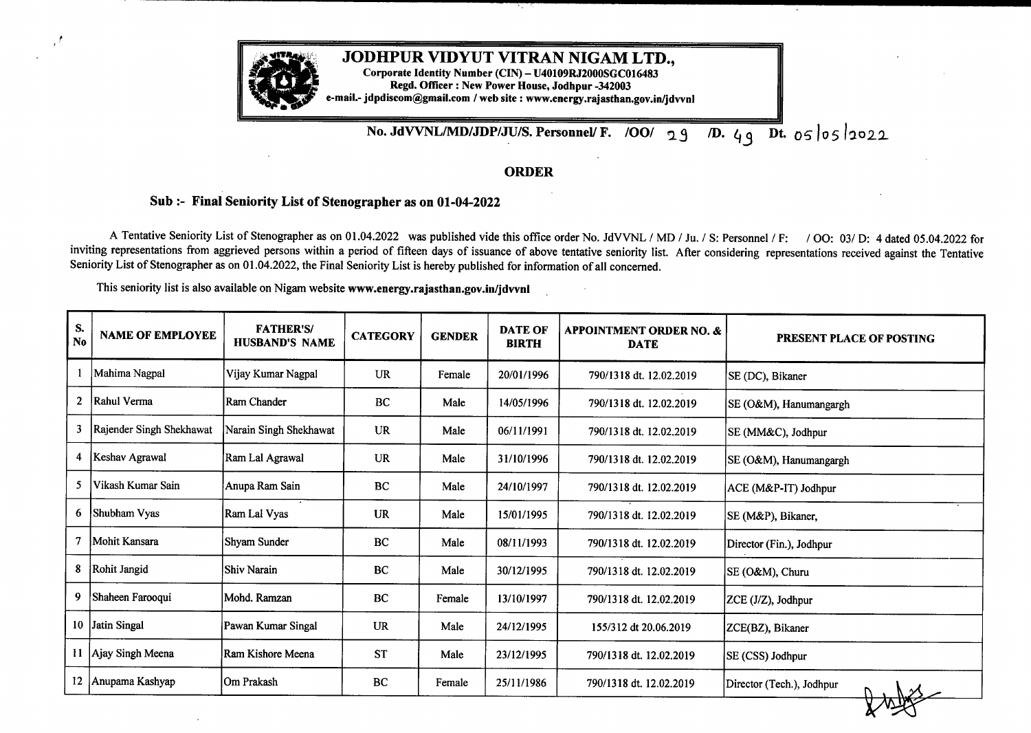

## **JODHPUR VIDYUT VITRAN NIGAM LTD.,**

**Corporate Identity Number (CIN) - U40109RJ2000SGC016483 Regd. Officer : New Power House, Jodhpur -342003 e-mail.- jdpdiscom@gmail.com /web site : www.energy.rajasthan.gov.in/jdvvnl**

**No. JdVVNLIMDIJDPIJUIS. Personnel/ F. /OO** 39 VD. 4q Dt. <sup>o</sup>*s*lo5l2022

## **ORDER**

## **Sub:- Final Seniority List of Stenographer as on 01-04-2022**

A Tentative Seniority List of Stenographer as on 01.04.2022 was published vide this office order No. JdVVNL / MD / Ju. / S: Personnel / F: / OO: 03/ D: 4 dated 05.04.2022 for inviting representations from aggrieved persons within a period of fifteen days of issuance of above tentative seniority list. After considering representations received against the Tentative Seniority List of Stenographer as on 01.04.2022, the Final Seniority List is hereby published for information of all concerned.

This seniority list is also available on Nigam website **www.energy.rajasthan.gov.in/jdvvnl**

| S.<br>$\mathbf{N}\mathbf{0}$ | <b>NAME OF EMPLOYEE</b>  | <b>FATHER'S/</b><br><b>HUSBAND'S NAME</b> | <b>CATEGORY</b> | <b>GENDER</b> | <b>DATE OF</b><br><b>BIRTH</b> | <b>APPOINTMENT ORDER NO. &amp;</b><br><b>DATE</b> | PRESENT PLACE OF POSTING  |
|------------------------------|--------------------------|-------------------------------------------|-----------------|---------------|--------------------------------|---------------------------------------------------|---------------------------|
|                              | Mahima Nagpal            | Vijay Kumar Nagpal                        | <b>UR</b>       | Female        | 20/01/1996                     | 790/1318 dt. 12.02.2019                           | SE (DC), Bikaner          |
| $\overline{2}$               | Rahul Verma              | Ram Chander                               | <b>BC</b>       | Male          | 14/05/1996                     | 790/1318 dt. 12.02.2019                           | SE (O&M), Hanumangargh    |
| 3                            | Rajender Singh Shekhawat | Narain Singh Shekhawat                    | <b>UR</b>       | Male          | 06/11/1991                     | 790/1318 dt. 12.02.2019                           | SE (MM&C), Jodhpur        |
| 4                            | Keshav Agrawal           | Ram Lal Agrawal                           | UR              | Male          | 31/10/1996                     | 790/1318 dt. 12.02.2019                           | SE (O&M), Hanumangargh    |
| 5                            | Vikash Kumar Sain        | Anupa Ram Sain                            | <b>BC</b>       | Male          | 24/10/1997                     | 790/1318 dt. 12.02.2019                           | ACE (M&P-IT) Jodhpur      |
| 6                            | Shubham Vyas             | Ram Lal Vyas                              | <b>UR</b>       | Male          | 15/01/1995                     | 790/1318 dt. 12.02.2019                           | SE (M&P), Bikaner,        |
|                              | Mohit Kansara            | Shyam Sunder                              | BC              | Male          | 08/11/1993                     | 790/1318 dt. 12.02.2019                           | Director (Fin.), Jodhpur  |
| 8                            | Rohit Jangid             | <b>Shiv Narain</b>                        | <b>BC</b>       | Male          | 30/12/1995                     | 790/1318 dt. 12.02.2019                           | SE (O&M), Churu           |
| 9.                           | Shaheen Farooqui         | Mohd. Ramzan                              | BC              | Female        | 13/10/1997                     | 790/1318 dt. 12.02.2019                           | ZCE (J/Z), Jodhpur        |
|                              | 10 Jatin Singal          | Pawan Kumar Singal                        | <b>UR</b>       | Male          | 24/12/1995                     | 155/312 dt 20.06.2019                             | ZCE(BZ), Bikaner          |
|                              | 11   Ajay Singh Meena    | Ram Kishore Meena                         | <b>ST</b>       | Male          | 23/12/1995                     | 790/1318 dt. 12.02.2019                           | SE (CSS) Jodhpur          |
|                              | 12 Anupama Kashyap       | Om Prakash                                | BC              | Female        | 25/11/1986                     | 790/1318 dt. 12.02.2019                           | Director (Tech.), Jodhpur |
|                              |                          |                                           |                 |               |                                |                                                   |                           |